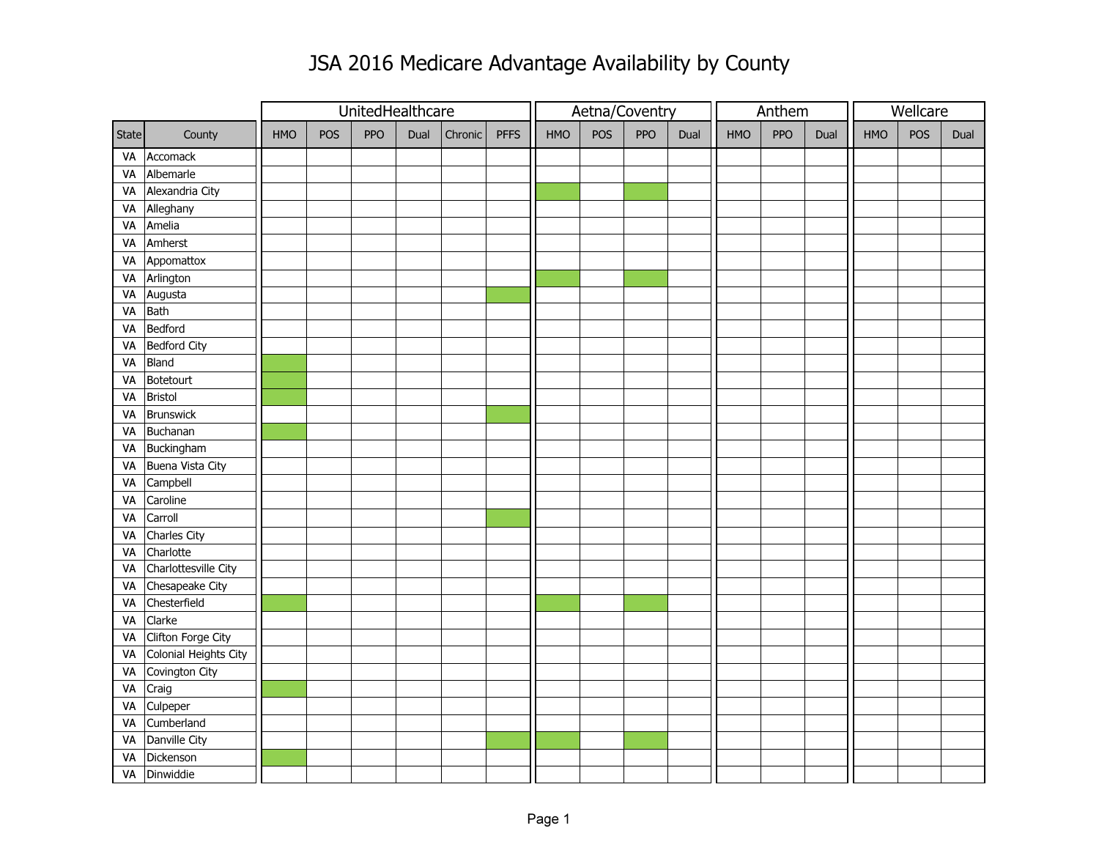|       |                       |            |     | UnitedHealthcare |      |         |             |            |            | Aetna/Coventry |      |            | Anthem     |             | Wellcare   |            |      |
|-------|-----------------------|------------|-----|------------------|------|---------|-------------|------------|------------|----------------|------|------------|------------|-------------|------------|------------|------|
| State | County                | <b>HMO</b> | POS | PPO              | Dual | Chronic | <b>PFFS</b> | <b>HMO</b> | <b>POS</b> | PPO            | Dual | <b>HMO</b> | <b>PPO</b> | <b>Dual</b> | <b>HMO</b> | <b>POS</b> | Dual |
| VA    | Accomack              |            |     |                  |      |         |             |            |            |                |      |            |            |             |            |            |      |
| VA    | Albemarle             |            |     |                  |      |         |             |            |            |                |      |            |            |             |            |            |      |
| VA    | Alexandria City       |            |     |                  |      |         |             |            |            |                |      |            |            |             |            |            |      |
|       | VA Alleghany          |            |     |                  |      |         |             |            |            |                |      |            |            |             |            |            |      |
| VA    | Amelia                |            |     |                  |      |         |             |            |            |                |      |            |            |             |            |            |      |
| VA    | Amherst               |            |     |                  |      |         |             |            |            |                |      |            |            |             |            |            |      |
| VA    | Appomattox            |            |     |                  |      |         |             |            |            |                |      |            |            |             |            |            |      |
| VA    | Arlington             |            |     |                  |      |         |             |            |            |                |      |            |            |             |            |            |      |
| VA    | Augusta               |            |     |                  |      |         |             |            |            |                |      |            |            |             |            |            |      |
| VA    | Bath                  |            |     |                  |      |         |             |            |            |                |      |            |            |             |            |            |      |
| VA    | Bedford               |            |     |                  |      |         |             |            |            |                |      |            |            |             |            |            |      |
| VA    | <b>Bedford City</b>   |            |     |                  |      |         |             |            |            |                |      |            |            |             |            |            |      |
| VA    | <b>Bland</b>          |            |     |                  |      |         |             |            |            |                |      |            |            |             |            |            |      |
| VA    | Botetourt             |            |     |                  |      |         |             |            |            |                |      |            |            |             |            |            |      |
| VA    | Bristol               |            |     |                  |      |         |             |            |            |                |      |            |            |             |            |            |      |
| VA    | Brunswick             |            |     |                  |      |         |             |            |            |                |      |            |            |             |            |            |      |
| VA    | Buchanan              |            |     |                  |      |         |             |            |            |                |      |            |            |             |            |            |      |
| VA    | Buckingham            |            |     |                  |      |         |             |            |            |                |      |            |            |             |            |            |      |
| VA    | Buena Vista City      |            |     |                  |      |         |             |            |            |                |      |            |            |             |            |            |      |
| VA    | Campbell              |            |     |                  |      |         |             |            |            |                |      |            |            |             |            |            |      |
| VA    | Caroline              |            |     |                  |      |         |             |            |            |                |      |            |            |             |            |            |      |
| VA    | Carroll               |            |     |                  |      |         |             |            |            |                |      |            |            |             |            |            |      |
| VA    | Charles City          |            |     |                  |      |         |             |            |            |                |      |            |            |             |            |            |      |
| VA    | Charlotte             |            |     |                  |      |         |             |            |            |                |      |            |            |             |            |            |      |
| VA    | Charlottesville City  |            |     |                  |      |         |             |            |            |                |      |            |            |             |            |            |      |
| VA    | Chesapeake City       |            |     |                  |      |         |             |            |            |                |      |            |            |             |            |            |      |
| VA    | Chesterfield          |            |     |                  |      |         |             |            |            |                |      |            |            |             |            |            |      |
| VA    | Clarke                |            |     |                  |      |         |             |            |            |                |      |            |            |             |            |            |      |
| VA    | Clifton Forge City    |            |     |                  |      |         |             |            |            |                |      |            |            |             |            |            |      |
| VA    | Colonial Heights City |            |     |                  |      |         |             |            |            |                |      |            |            |             |            |            |      |
| VA    | Covington City        |            |     |                  |      |         |             |            |            |                |      |            |            |             |            |            |      |
| VA    | Craig                 |            |     |                  |      |         |             |            |            |                |      |            |            |             |            |            |      |
| VA    | Culpeper              |            |     |                  |      |         |             |            |            |                |      |            |            |             |            |            |      |
| VA    | Cumberland            |            |     |                  |      |         |             |            |            |                |      |            |            |             |            |            |      |
| VA    | Danville City         |            |     |                  |      |         |             |            |            |                |      |            |            |             |            |            |      |
| VA    | Dickenson             |            |     |                  |      |         |             |            |            |                |      |            |            |             |            |            |      |
|       | VA Dinwiddie          |            |     |                  |      |         |             |            |            |                |      |            |            |             |            |            |      |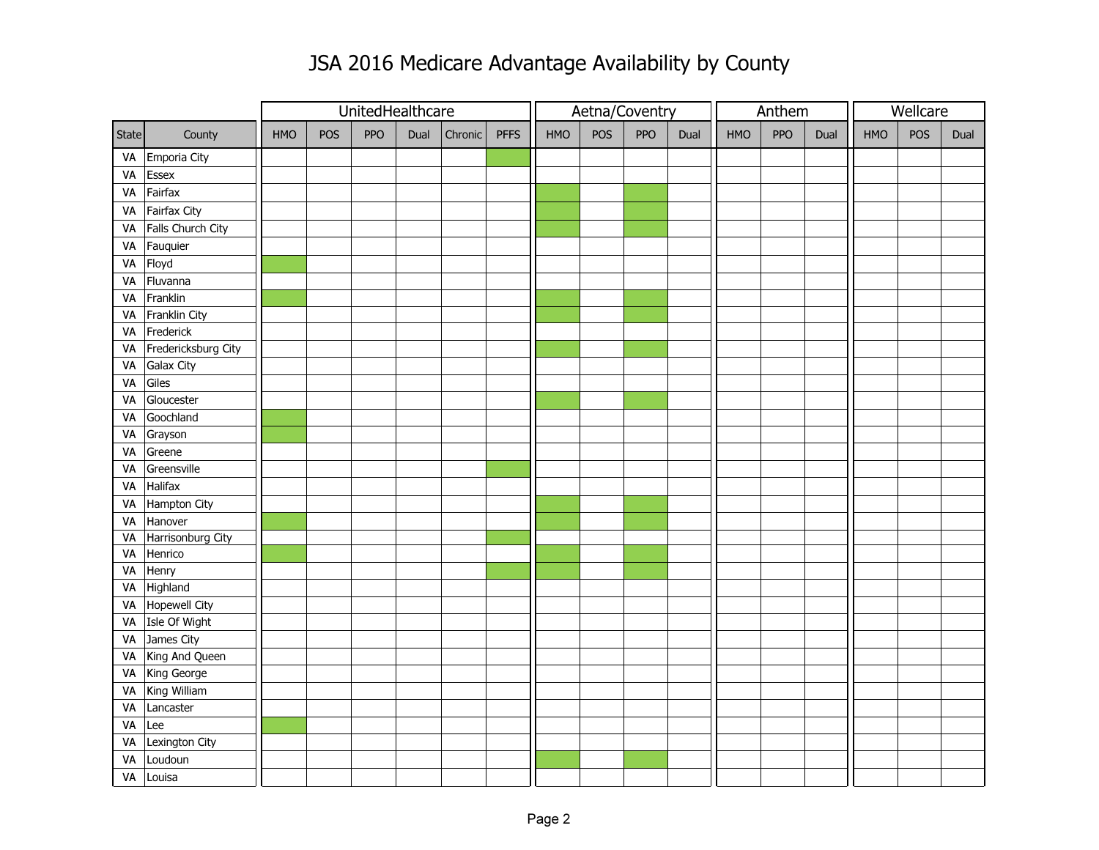|              |                     |     |     | UnitedHealthcare |      |         |             |     |     | Aetna/Coventry |      |     | Anthem     |      | Wellcare |     |      |
|--------------|---------------------|-----|-----|------------------|------|---------|-------------|-----|-----|----------------|------|-----|------------|------|----------|-----|------|
| <b>State</b> | County              | HMO | POS | PPO              | Dual | Chronic | <b>PFFS</b> | HMO | POS | PPO            | Dual | HMO | <b>PPO</b> | Dual | HMO      | POS | Dual |
| VA           | Emporia City        |     |     |                  |      |         |             |     |     |                |      |     |            |      |          |     |      |
| VA           | Essex               |     |     |                  |      |         |             |     |     |                |      |     |            |      |          |     |      |
| VA           | Fairfax             |     |     |                  |      |         |             |     |     |                |      |     |            |      |          |     |      |
| VA           | Fairfax City        |     |     |                  |      |         |             |     |     |                |      |     |            |      |          |     |      |
| VA           | Falls Church City   |     |     |                  |      |         |             |     |     |                |      |     |            |      |          |     |      |
| VA           | Fauquier            |     |     |                  |      |         |             |     |     |                |      |     |            |      |          |     |      |
| VA           | Floyd               |     |     |                  |      |         |             |     |     |                |      |     |            |      |          |     |      |
| VA           | Fluvanna            |     |     |                  |      |         |             |     |     |                |      |     |            |      |          |     |      |
| VA           | Franklin            |     |     |                  |      |         |             |     |     |                |      |     |            |      |          |     |      |
| VA           | Franklin City       |     |     |                  |      |         |             |     |     |                |      |     |            |      |          |     |      |
| VA           | Frederick           |     |     |                  |      |         |             |     |     |                |      |     |            |      |          |     |      |
| VA           | Fredericksburg City |     |     |                  |      |         |             |     |     |                |      |     |            |      |          |     |      |
| VA           | Galax City          |     |     |                  |      |         |             |     |     |                |      |     |            |      |          |     |      |
| VA           | Giles               |     |     |                  |      |         |             |     |     |                |      |     |            |      |          |     |      |
| VA           | Gloucester          |     |     |                  |      |         |             |     |     |                |      |     |            |      |          |     |      |
| VA           | Goochland           |     |     |                  |      |         |             |     |     |                |      |     |            |      |          |     |      |
| VA           | Grayson             |     |     |                  |      |         |             |     |     |                |      |     |            |      |          |     |      |
| VA           | Greene              |     |     |                  |      |         |             |     |     |                |      |     |            |      |          |     |      |
| VA           | Greensville         |     |     |                  |      |         |             |     |     |                |      |     |            |      |          |     |      |
| VA           | Halifax             |     |     |                  |      |         |             |     |     |                |      |     |            |      |          |     |      |
|              | VA Hampton City     |     |     |                  |      |         |             |     |     |                |      |     |            |      |          |     |      |
| VA           | Hanover             |     |     |                  |      |         |             |     |     |                |      |     |            |      |          |     |      |
| VA           | Harrisonburg City   |     |     |                  |      |         |             |     |     |                |      |     |            |      |          |     |      |
| VA           | Henrico             |     |     |                  |      |         |             |     |     |                |      |     |            |      |          |     |      |
| VA           | Henry               |     |     |                  |      |         |             |     |     |                |      |     |            |      |          |     |      |
| VA           | Highland            |     |     |                  |      |         |             |     |     |                |      |     |            |      |          |     |      |
| VA           | Hopewell City       |     |     |                  |      |         |             |     |     |                |      |     |            |      |          |     |      |
| VA           | Isle Of Wight       |     |     |                  |      |         |             |     |     |                |      |     |            |      |          |     |      |
| VA           | James City          |     |     |                  |      |         |             |     |     |                |      |     |            |      |          |     |      |
| VA           | King And Queen      |     |     |                  |      |         |             |     |     |                |      |     |            |      |          |     |      |
| VA           | King George         |     |     |                  |      |         |             |     |     |                |      |     |            |      |          |     |      |
| VA           | King William        |     |     |                  |      |         |             |     |     |                |      |     |            |      |          |     |      |
| VA           | Lancaster           |     |     |                  |      |         |             |     |     |                |      |     |            |      |          |     |      |
| VA           | Lee                 |     |     |                  |      |         |             |     |     |                |      |     |            |      |          |     |      |
| VA           | Lexington City      |     |     |                  |      |         |             |     |     |                |      |     |            |      |          |     |      |
| VA           | Loudoun             |     |     |                  |      |         |             |     |     |                |      |     |            |      |          |     |      |
| VA           | Louisa              |     |     |                  |      |         |             |     |     |                |      |     |            |      |          |     |      |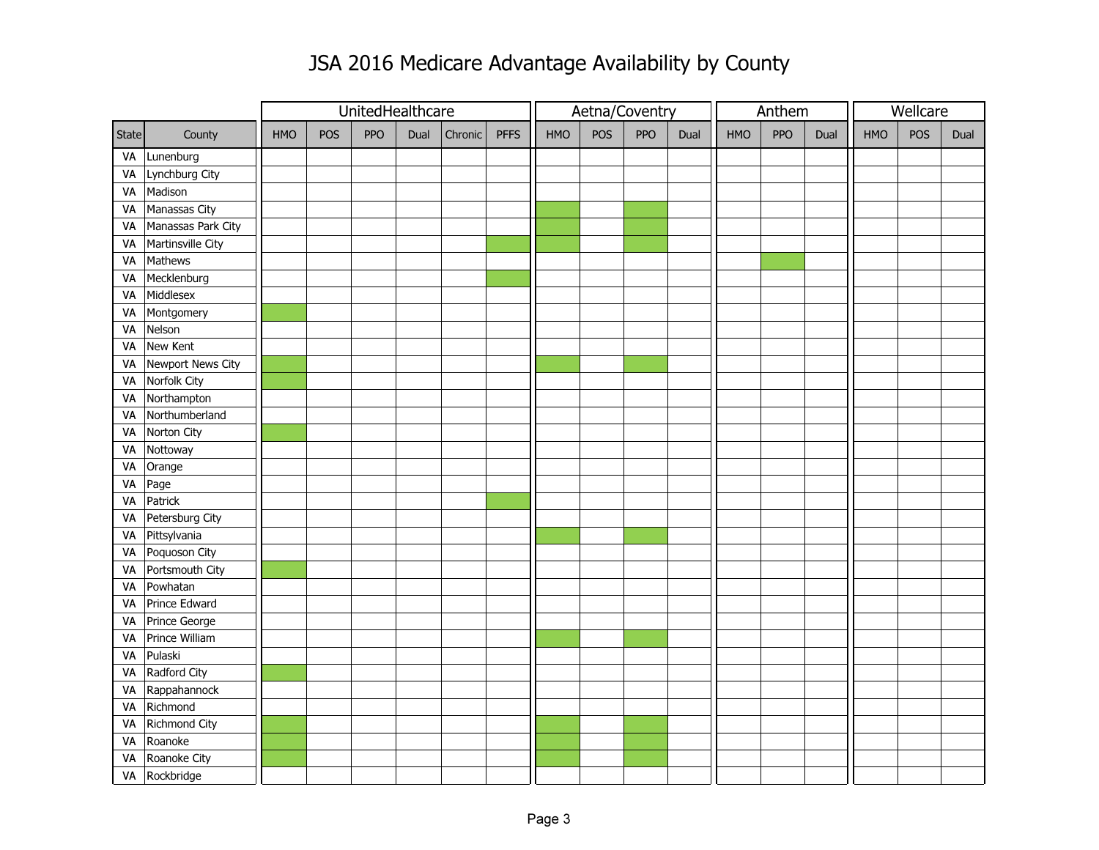|              |                    |     |            | UnitedHealthcare |      |         |             |            |            | Aetna/Coventry |      |     | Anthem     |      | Wellcare   |     |      |
|--------------|--------------------|-----|------------|------------------|------|---------|-------------|------------|------------|----------------|------|-----|------------|------|------------|-----|------|
| <b>State</b> | County             | HMO | <b>POS</b> | PPO              | Dual | Chronic | <b>PFFS</b> | <b>HMO</b> | <b>POS</b> | PPO            | Dual | HMO | <b>PPO</b> | Dual | <b>HMO</b> | POS | Dual |
| VA           | Lunenburg          |     |            |                  |      |         |             |            |            |                |      |     |            |      |            |     |      |
| VA           | Lynchburg City     |     |            |                  |      |         |             |            |            |                |      |     |            |      |            |     |      |
| VA           | Madison            |     |            |                  |      |         |             |            |            |                |      |     |            |      |            |     |      |
| VA           | Manassas City      |     |            |                  |      |         |             |            |            |                |      |     |            |      |            |     |      |
| VA           | Manassas Park City |     |            |                  |      |         |             |            |            |                |      |     |            |      |            |     |      |
| VA           | Martinsville City  |     |            |                  |      |         |             |            |            |                |      |     |            |      |            |     |      |
| VA           | Mathews            |     |            |                  |      |         |             |            |            |                |      |     |            |      |            |     |      |
| VA           | Mecklenburg        |     |            |                  |      |         |             |            |            |                |      |     |            |      |            |     |      |
| VA           | Middlesex          |     |            |                  |      |         |             |            |            |                |      |     |            |      |            |     |      |
| VA           | Montgomery         |     |            |                  |      |         |             |            |            |                |      |     |            |      |            |     |      |
| VA           | Nelson             |     |            |                  |      |         |             |            |            |                |      |     |            |      |            |     |      |
| VA           | New Kent           |     |            |                  |      |         |             |            |            |                |      |     |            |      |            |     |      |
| VA           | Newport News City  |     |            |                  |      |         |             |            |            |                |      |     |            |      |            |     |      |
| VA           | Norfolk City       |     |            |                  |      |         |             |            |            |                |      |     |            |      |            |     |      |
| VA           | Northampton        |     |            |                  |      |         |             |            |            |                |      |     |            |      |            |     |      |
| VA           | Northumberland     |     |            |                  |      |         |             |            |            |                |      |     |            |      |            |     |      |
| VA           | Norton City        |     |            |                  |      |         |             |            |            |                |      |     |            |      |            |     |      |
| VA           | Nottoway           |     |            |                  |      |         |             |            |            |                |      |     |            |      |            |     |      |
| VA           | Orange             |     |            |                  |      |         |             |            |            |                |      |     |            |      |            |     |      |
| VA           | Page               |     |            |                  |      |         |             |            |            |                |      |     |            |      |            |     |      |
| VA           | Patrick            |     |            |                  |      |         |             |            |            |                |      |     |            |      |            |     |      |
| VA           | Petersburg City    |     |            |                  |      |         |             |            |            |                |      |     |            |      |            |     |      |
| VA           | Pittsylvania       |     |            |                  |      |         |             |            |            |                |      |     |            |      |            |     |      |
| VA           | Poquoson City      |     |            |                  |      |         |             |            |            |                |      |     |            |      |            |     |      |
| VA           | Portsmouth City    |     |            |                  |      |         |             |            |            |                |      |     |            |      |            |     |      |
| VA           | Powhatan           |     |            |                  |      |         |             |            |            |                |      |     |            |      |            |     |      |
| VA           | Prince Edward      |     |            |                  |      |         |             |            |            |                |      |     |            |      |            |     |      |
| VA           | Prince George      |     |            |                  |      |         |             |            |            |                |      |     |            |      |            |     |      |
| VA           | Prince William     |     |            |                  |      |         |             |            |            |                |      |     |            |      |            |     |      |
| VA           | Pulaski            |     |            |                  |      |         |             |            |            |                |      |     |            |      |            |     |      |
| VA           | Radford City       |     |            |                  |      |         |             |            |            |                |      |     |            |      |            |     |      |
| VA           | Rappahannock       |     |            |                  |      |         |             |            |            |                |      |     |            |      |            |     |      |
| VA           | Richmond           |     |            |                  |      |         |             |            |            |                |      |     |            |      |            |     |      |
| VA           | Richmond City      |     |            |                  |      |         |             |            |            |                |      |     |            |      |            |     |      |
| VA           | Roanoke            |     |            |                  |      |         |             |            |            |                |      |     |            |      |            |     |      |
| VA           | Roanoke City       |     |            |                  |      |         |             |            |            |                |      |     |            |      |            |     |      |
|              | VA Rockbridge      |     |            |                  |      |         |             |            |            |                |      |     |            |      |            |     |      |